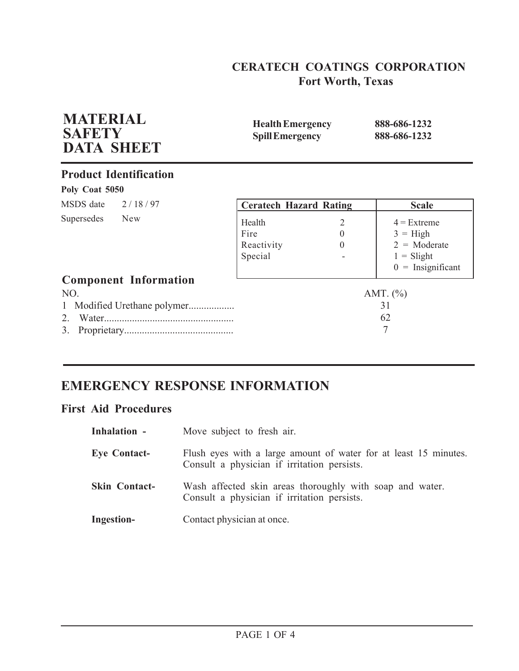## **CERATECH COATINGS CORPORATION Fort Worth, Texas**

| <b>Health Emergency</b><br><b>Spill Emergency</b> |                           | 888-686-1232<br>888-686-1232                                                                |  |
|---------------------------------------------------|---------------------------|---------------------------------------------------------------------------------------------|--|
|                                                   |                           |                                                                                             |  |
|                                                   |                           |                                                                                             |  |
|                                                   |                           | <b>Scale</b>                                                                                |  |
| Health<br>Fire<br>Reactivity<br>Special           | 2<br>$\theta$<br>$\Omega$ | $4$ = Extreme<br>$3 = High$<br>$2 = \text{Moderate}$<br>$1 =$ Slight<br>$0 =$ Insignificant |  |
|                                                   |                           |                                                                                             |  |
|                                                   |                           | AMT. $(\% )$<br>31<br>62<br>7                                                               |  |
|                                                   |                           | <b>Ceratech Hazard Rating</b>                                                               |  |

# **EMERGENCY RESPONSE INFORMATION**

## **First Aid Procedures**

| Inhalation -         | Move subject to fresh air.                                                                                      |
|----------------------|-----------------------------------------------------------------------------------------------------------------|
| <b>Eye Contact-</b>  | Flush eyes with a large amount of water for at least 15 minutes.<br>Consult a physician if irritation persists. |
| <b>Skin Contact-</b> | Wash affected skin areas thoroughly with soap and water.<br>Consult a physician if irritation persists.         |
| <b>Ingestion-</b>    | Contact physician at once.                                                                                      |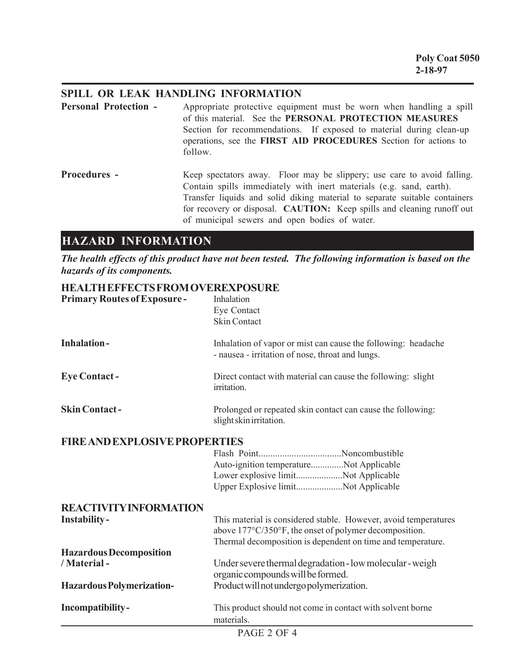## **SPILL OR LEAK HANDLING INFORMATION**

| <b>Personal Protection -</b> | Appropriate protective equipment must be worn when handling a spill<br>of this material. See the PERSONAL PROTECTION MEASURES<br>Section for recommendations. If exposed to material during clean-up<br>operations, see the FIRST AID PROCEDURES Section for actions to<br>follow.                                                                      |
|------------------------------|---------------------------------------------------------------------------------------------------------------------------------------------------------------------------------------------------------------------------------------------------------------------------------------------------------------------------------------------------------|
| <b>Procedures -</b>          | Keep spectators away. Floor may be slippery; use care to avoid falling.<br>Contain spills immediately with inert materials (e.g. sand, earth).<br>Transfer liquids and solid diking material to separate suitable containers<br>for recovery or disposal. CAUTION: Keep spills and cleaning runoff out<br>of municipal sewers and open bodies of water. |

# **HAZARD INFORMATION**

*The health effects of this product have not been tested. The following information is based on the hazards of its components.*

## **HEALTH EFFECTS FROM OVEREXPOSURE**

| <b>Primary Routes of Exposure -</b>                  | Inhalation<br>Eye Contact<br><b>Skin Contact</b>                                                                                                                                         |
|------------------------------------------------------|------------------------------------------------------------------------------------------------------------------------------------------------------------------------------------------|
| <b>Inhalation-</b>                                   | Inhalation of vapor or mist can cause the following: headache<br>- nausea - irritation of nose, throat and lungs.                                                                        |
| <b>Eye Contact -</b>                                 | Direct contact with material can cause the following: slight<br>irritation.                                                                                                              |
| <b>Skin Contact-</b>                                 | Prolonged or repeated skin contact can cause the following:<br>slight skin irritation.                                                                                                   |
| <b>FIRE AND EXPLOSIVE PROPERTIES</b>                 | Auto-ignition temperatureNot Applicable<br>Lower explosive limitNot Applicable<br>Upper Explosive limitNot Applicable                                                                    |
| <b>REACTIVITY INFORMATION</b><br><b>Instability-</b> | This material is considered stable. However, avoid temperatures<br>above 177°C/350°F, the onset of polymer decomposition.<br>Thermal decomposition is dependent on time and temperature. |
| <b>Hazardous Decomposition</b><br>/ Material -       | Under severe thermal degradation - low molecular - weigh<br>organic compounds will be formed.                                                                                            |
| <b>Hazardous Polymerization-</b>                     | Product will not undergo polymerization.                                                                                                                                                 |
| Incompatibility-                                     | This product should not come in contact with solvent borne<br>materials.                                                                                                                 |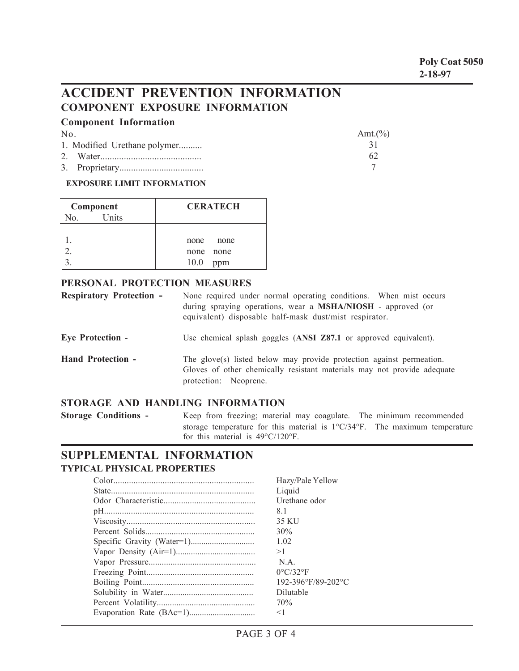**Poly Coat 5050 2-18-97**

 $\Delta$ mt.(%)

# **ACCIDENT PREVENTION INFORMATION COMPONENT EXPOSURE INFORMATION**

### **Component Information**

No.

| . |                              | $\lceil$ 1111, $\lceil$ / $\lceil$ |
|---|------------------------------|------------------------------------|
|   | 1. Modified Urethane polymer |                                    |
|   |                              | 62                                 |
|   |                              |                                    |

#### **EXPOSURE LIMIT INFORMATION**

| Component    | <b>CERATECH</b> |
|--------------|-----------------|
| Units<br>No. |                 |
|              |                 |
|              | none<br>none    |
|              | none none       |
|              | 10.0<br>ppm     |

#### **PERSONAL PROTECTION MEASURES**

| <b>Respiratory Protection -</b> | None required under normal operating conditions. When mist occurs<br>during spraying operations, wear a MSHA/NIOSH - approved (or<br>equivalent) disposable half-mask dust/mist respirator. |
|---------------------------------|---------------------------------------------------------------------------------------------------------------------------------------------------------------------------------------------|
| <b>Eye Protection -</b>         | Use chemical splash goggles (ANSI Z87.1 or approved equivalent).                                                                                                                            |
| <b>Hand Protection -</b>        | The glove(s) listed below may provide protection against permeation.<br>Gloves of other chemically resistant materials may not provide adequate<br>protection: Neoprene.                    |

### **STORAGE AND HANDLING INFORMATION**

**Storage Conditions -** Keep from freezing; material may coagulate. The minimum recommended storage temperature for this material is 1°C/34°F. The maximum temperature for this material is 49°C/120°F.

## **SUPPLEMENTAL INFORMATION TYPICAL PHYSICAL PROPERTIES**

| Hazy/Pale Yellow              |
|-------------------------------|
| Liquid                        |
| Urethane odor                 |
| 81                            |
| 35 KU                         |
| 30%                           |
| 1.02                          |
| >1                            |
| N A                           |
| $0^{\circ}$ C/32 $^{\circ}$ F |
| 192-396°F/89-202°C            |
| Dilutable                     |
| 70%                           |
| $<$ 1                         |